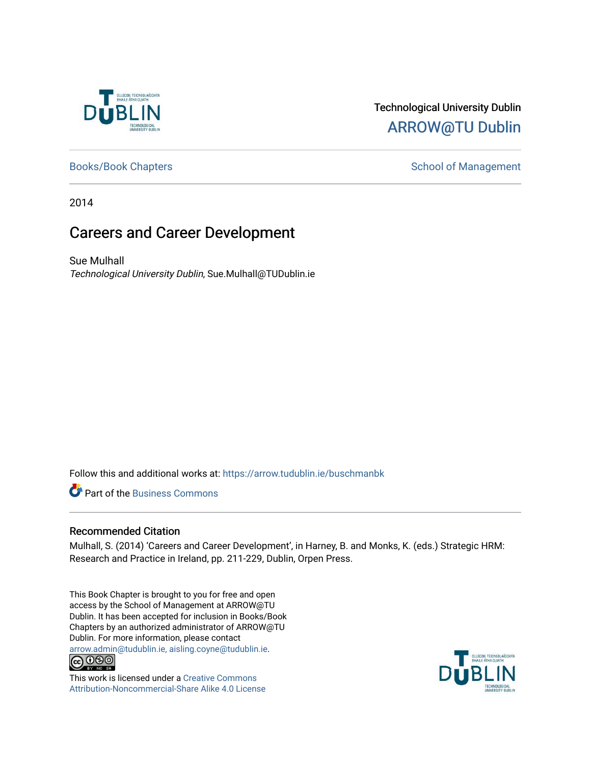

# Technological University Dublin [ARROW@TU Dublin](https://arrow.tudublin.ie/)

[Books/Book Chapters](https://arrow.tudublin.ie/buschmanbk) **School of Management** School of Management

2014

# Careers and Career Development

Sue Mulhall Technological University Dublin, Sue.Mulhall@TUDublin.ie

Follow this and additional works at: [https://arrow.tudublin.ie/buschmanbk](https://arrow.tudublin.ie/buschmanbk?utm_source=arrow.tudublin.ie%2Fbuschmanbk%2F16&utm_medium=PDF&utm_campaign=PDFCoverPages)

**P** Part of the [Business Commons](http://network.bepress.com/hgg/discipline/622?utm_source=arrow.tudublin.ie%2Fbuschmanbk%2F16&utm_medium=PDF&utm_campaign=PDFCoverPages)

#### Recommended Citation

Mulhall, S. (2014) 'Careers and Career Development', in Harney, B. and Monks, K. (eds.) Strategic HRM: Research and Practice in Ireland, pp. 211-229, Dublin, Orpen Press.

This Book Chapter is brought to you for free and open access by the School of Management at ARROW@TU Dublin. It has been accepted for inclusion in Books/Book Chapters by an authorized administrator of ARROW@TU Dublin. For more information, please contact [arrow.admin@tudublin.ie, aisling.coyne@tudublin.ie](mailto:arrow.admin@tudublin.ie,%20aisling.coyne@tudublin.ie).<br>
© 0 9 9 1



This work is licensed under a [Creative Commons](http://creativecommons.org/licenses/by-nc-sa/4.0/) [Attribution-Noncommercial-Share Alike 4.0 License](http://creativecommons.org/licenses/by-nc-sa/4.0/)

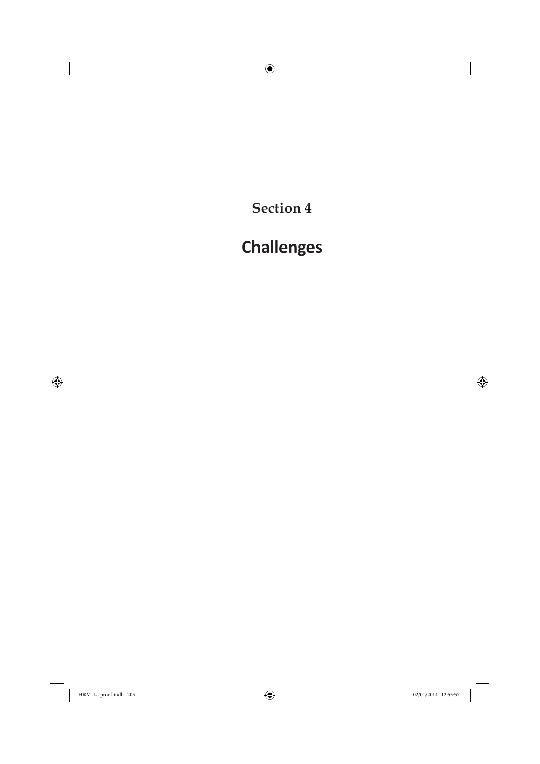**Section 4**

# **Challenges**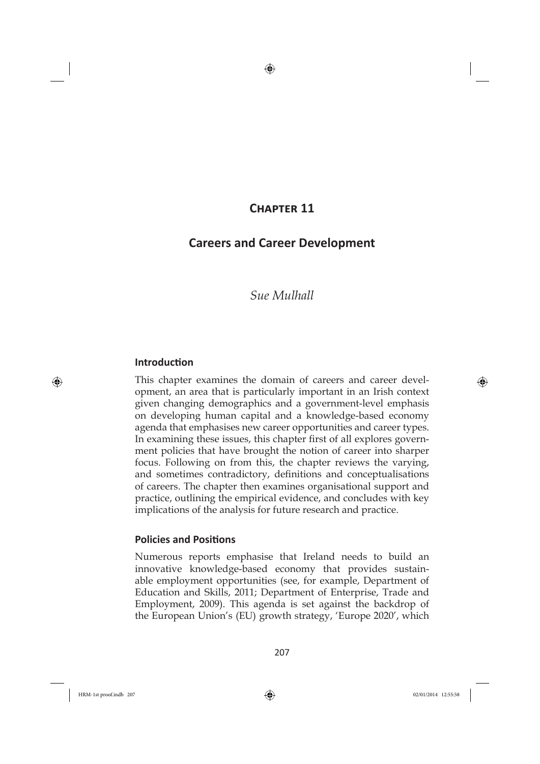# **CHAPTER 11**

## **Careers and Career Development**

### *Sue Mulhall*

#### **Introducti on**

This chapter examines the domain of careers and career development, an area that is particularly important in an Irish context given changing demographics and a government-level emphasis on developing human capital and a knowledge-based economy agenda that emphasises new career opportunities and career types. In examining these issues, this chapter first of all explores government policies that have brought the notion of career into sharper focus. Following on from this, the chapter reviews the varying, and sometimes contradictory, definitions and conceptualisations of careers. The chapter then examines organisational support and practice, outlining the empirical evidence, and concludes with key implications of the analysis for future research and practice.

#### **Policies and Positi ons**

Numerous reports emphasise that Ireland needs to build an innovative knowledge-based economy that provides sustainable employment opportunities (see, for example, Department of Education and Skills, 2011; Department of Enterprise, Trade and Employment, 2009). This agenda is set against the backdrop of the European Union's (EU) growth strategy, 'Europe 2020', which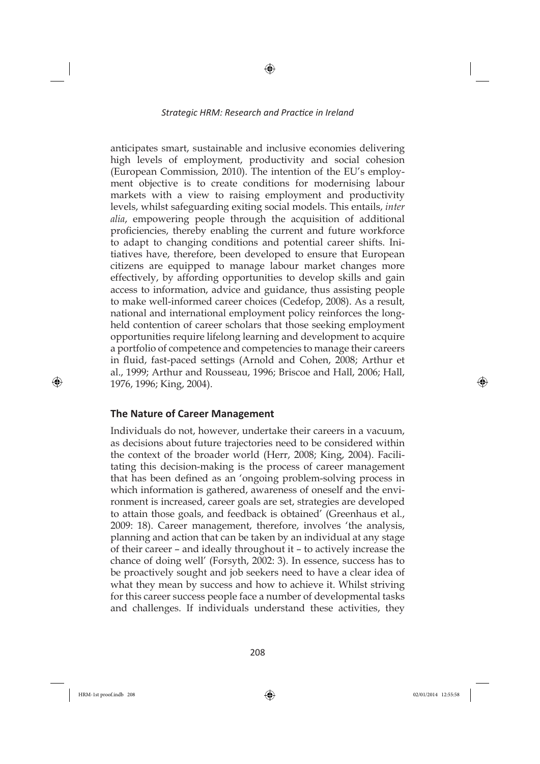anticipates smart, sustainable and inclusive economies delivering high levels of employment, productivity and social cohesion (European Commission, 2010). The intention of the EU's employment objective is to create conditions for modernising labour markets with a view to raising employment and productivity levels, whilst safeguarding exiting social models. This entails, *inter alia*, empowering people through the acquisition of additional proficiencies, thereby enabling the current and future workforce to adapt to changing conditions and potential career shifts. Initiatives have, therefore, been developed to ensure that European citizens are equipped to manage labour market changes more effectively, by affording opportunities to develop skills and gain access to information, advice and guidance, thus assisting people to make well-informed career choices (Cedefop, 2008). As a result, national and international employment policy reinforces the longheld contention of career scholars that those seeking employment opportunities require lifelong learning and development to acquire a portfolio of competence and competencies to manage their careers in fluid, fast-paced settings (Arnold and Cohen, 2008; Arthur et al., 1999; Arthur and Rousseau, 1996; Briscoe and Hall, 2006; Hall, 1976, 1996; King, 2004).

#### **The Nature of Career Management**

Individuals do not, however, undertake their careers in a vacuum, as decisions about future trajectories need to be considered within the context of the broader world (Herr, 2008; King, 2004). Facilitating this decision-making is the process of career management that has been defined as an 'ongoing problem-solving process in which information is gathered, awareness of oneself and the environment is increased, career goals are set, strategies are developed to attain those goals, and feedback is obtained' (Greenhaus et al., 2009: 18). Career management, therefore, involves 'the analysis, planning and action that can be taken by an individual at any stage of their career – and ideally throughout it – to actively increase the chance of doing well' (Forsyth, 2002: 3). In essence, success has to be proactively sought and job seekers need to have a clear idea of what they mean by success and how to achieve it. Whilst striving for this career success people face a number of developmental tasks and challenges. If individuals understand these activities, they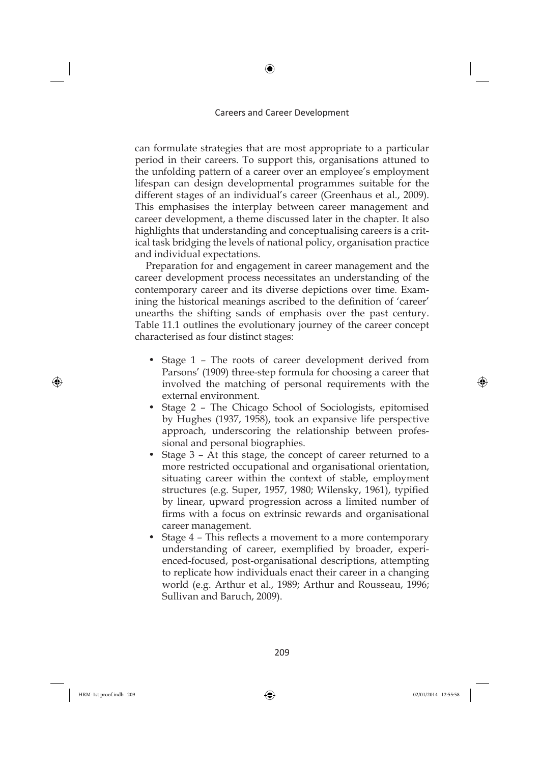can formulate strategies that are most appropriate to a particular period in their careers. To support this, organisations attuned to the unfolding pattern of a career over an employee's employment lifespan can design developmental programmes suitable for the different stages of an individual's career (Greenhaus et al., 2009). This emphasises the interplay between career management and career development, a theme discussed later in the chapter. It also highlights that understanding and conceptualising careers is a critical task bridging the levels of national policy, organisation practice and individual expectations.

Preparation for and engagement in career management and the career development process necessitates an understanding of the contemporary career and its diverse depictions over time. Examining the historical meanings ascribed to the definition of 'career' unearths the shifting sands of emphasis over the past century. Table 11.1 outlines the evolutionary journey of the career concept characterised as four distinct stages:

- Stage 1 The roots of career development derived from Parsons' (1909) three-step formula for choosing a career that involved the matching of personal requirements with the external environment.
- Stage 2 The Chicago School of Sociologists, epitomised by Hughes (1937, 1958), took an expansive life perspective approach, underscoring the relationship between professional and personal biographies.
- Stage 3 At this stage, the concept of career returned to a more restricted occupational and organisational orientation, situating career within the context of stable, employment structures (e.g. Super, 1957, 1980; Wilensky, 1961), typified by linear, upward progression across a limited number of firms with a focus on extrinsic rewards and organisational career management.
- Stage 4 This reflects a movement to a more contemporary understanding of career, exemplified by broader, experienced-focused, post-organisational descriptions, attempting to replicate how individuals enact their career in a changing world (e.g. Arthur et al., 1989; Arthur and Rousseau, 1996; Sullivan and Baruch, 2009).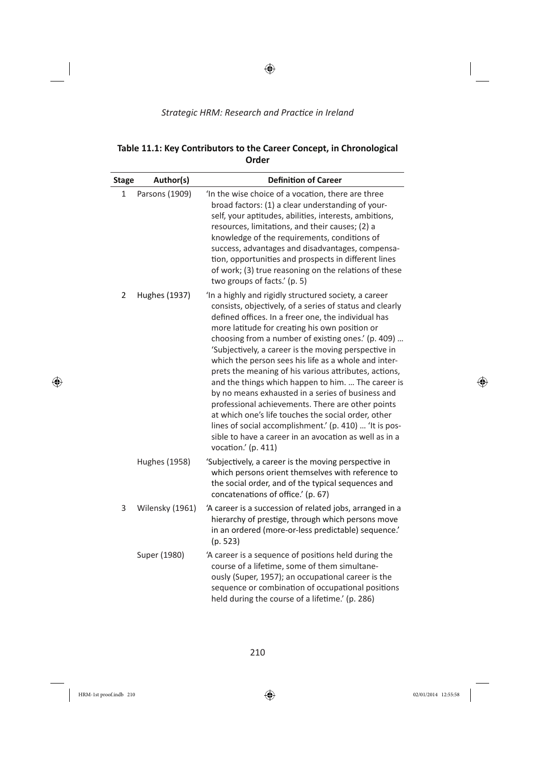#### **Table 11.1: Key Contributors to the Career Concept, in Chronological Order**

| <b>Stage</b> | Author(s)       | <b>Definition of Career</b>                                                                                                                                                                                                                                                                                                                                                                                                                                                                                                                                                                                                                                                                                                                                                                                                 |
|--------------|-----------------|-----------------------------------------------------------------------------------------------------------------------------------------------------------------------------------------------------------------------------------------------------------------------------------------------------------------------------------------------------------------------------------------------------------------------------------------------------------------------------------------------------------------------------------------------------------------------------------------------------------------------------------------------------------------------------------------------------------------------------------------------------------------------------------------------------------------------------|
| 1            | Parsons (1909)  | 'In the wise choice of a vocation, there are three<br>broad factors: (1) a clear understanding of your-<br>self, your aptitudes, abilities, interests, ambitions,<br>resources, limitations, and their causes; (2) a<br>knowledge of the requirements, conditions of<br>success, advantages and disadvantages, compensa-<br>tion, opportunities and prospects in different lines<br>of work; (3) true reasoning on the relations of these<br>two groups of facts.' (p. 5)                                                                                                                                                                                                                                                                                                                                                   |
| 2            | Hughes (1937)   | 'In a highly and rigidly structured society, a career<br>consists, objectively, of a series of status and clearly<br>defined offices. In a freer one, the individual has<br>more latitude for creating his own position or<br>choosing from a number of existing ones.' (p. 409)<br>'Subjectively, a career is the moving perspective in<br>which the person sees his life as a whole and inter-<br>prets the meaning of his various attributes, actions,<br>and the things which happen to him.  The career is<br>by no means exhausted in a series of business and<br>professional achievements. There are other points<br>at which one's life touches the social order, other<br>lines of social accomplishment.' (p. 410)  'It is pos-<br>sible to have a career in an avocation as well as in a<br>vocation.' (p. 411) |
|              | Hughes (1958)   | 'Subjectively, a career is the moving perspective in<br>which persons orient themselves with reference to<br>the social order, and of the typical sequences and<br>concatenations of office.' (p. 67)                                                                                                                                                                                                                                                                                                                                                                                                                                                                                                                                                                                                                       |
| 3            | Wilensky (1961) | 'A career is a succession of related jobs, arranged in a<br>hierarchy of prestige, through which persons move<br>in an ordered (more-or-less predictable) sequence.'<br>(p. 523)                                                                                                                                                                                                                                                                                                                                                                                                                                                                                                                                                                                                                                            |
|              | Super (1980)    | 'A career is a sequence of positions held during the<br>course of a lifetime, some of them simultane-<br>ously (Super, 1957); an occupational career is the<br>sequence or combination of occupational positions<br>held during the course of a lifetime.' (p. 286)                                                                                                                                                                                                                                                                                                                                                                                                                                                                                                                                                         |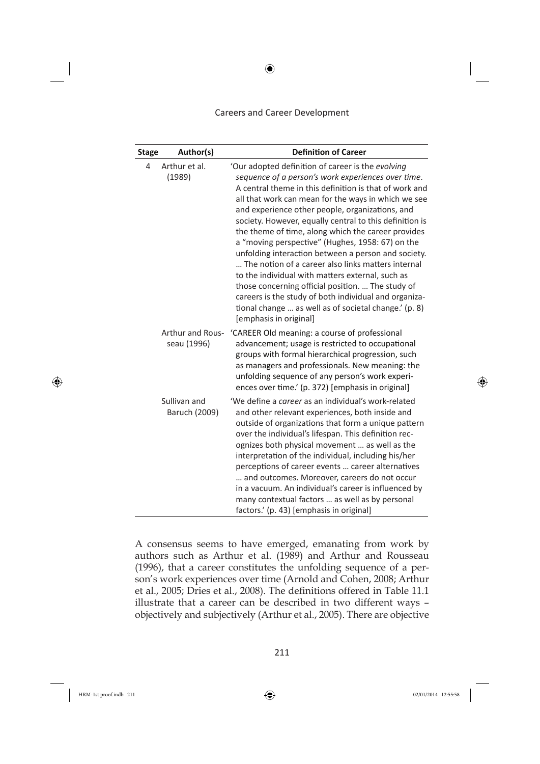| <b>Stage</b> | Author(s)                       | <b>Definition of Career</b>                                                                                                                                                                                                                                                                                                                                                                                                                                                                                                                                                                                                                                                                                                                                                                                        |
|--------------|---------------------------------|--------------------------------------------------------------------------------------------------------------------------------------------------------------------------------------------------------------------------------------------------------------------------------------------------------------------------------------------------------------------------------------------------------------------------------------------------------------------------------------------------------------------------------------------------------------------------------------------------------------------------------------------------------------------------------------------------------------------------------------------------------------------------------------------------------------------|
| 4            | Arthur et al.<br>(1989)         | 'Our adopted definition of career is the evolving<br>sequence of a person's work experiences over time.<br>A central theme in this definition is that of work and<br>all that work can mean for the ways in which we see<br>and experience other people, organizations, and<br>society. However, equally central to this definition is<br>the theme of time, along which the career provides<br>a "moving perspective" (Hughes, 1958: 67) on the<br>unfolding interaction between a person and society.<br>The notion of a career also links matters internal<br>to the individual with matters external, such as<br>those concerning official position.  The study of<br>careers is the study of both individual and organiza-<br>tional change  as well as of societal change.' (p. 8)<br>[emphasis in original] |
|              | Arthur and Rous-<br>seau (1996) | 'CAREER Old meaning: a course of professional<br>advancement; usage is restricted to occupational<br>groups with formal hierarchical progression, such<br>as managers and professionals. New meaning: the<br>unfolding sequence of any person's work experi-<br>ences over time.' (p. 372) [emphasis in original]                                                                                                                                                                                                                                                                                                                                                                                                                                                                                                  |
|              | Sullivan and<br>Baruch (2009)   | 'We define a career as an individual's work-related<br>and other relevant experiences, both inside and<br>outside of organizations that form a unique pattern<br>over the individual's lifespan. This definition rec-<br>ognizes both physical movement  as well as the<br>interpretation of the individual, including his/her<br>perceptions of career events  career alternatives<br>and outcomes. Moreover, careers do not occur<br>in a vacuum. An individual's career is influenced by<br>many contextual factors  as well as by personal<br>factors.' (p. 43) [emphasis in original]                                                                                                                                                                                                                         |

A consensus seems to have emerged, emanating from work by authors such as Arthur et al. (1989) and Arthur and Rousseau (1996), that a career constitutes the unfolding sequence of a person's work experiences over time (Arnold and Cohen, 2008; Arthur et al., 2005; Dries et al., 2008). The definitions offered in Table 11.1 illustrate that a career can be described in two different ways – objectively and subjectively (Arthur et al., 2005). There are objective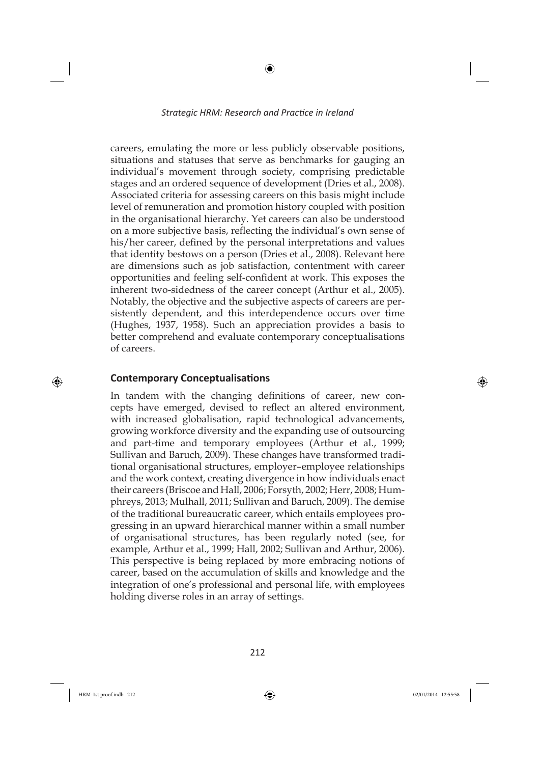careers, emulating the more or less publicly observable positions, situations and statuses that serve as benchmarks for gauging an individual's movement through society, comprising predictable stages and an ordered sequence of development (Dries et al., 2008). Associated criteria for assessing careers on this basis might include level of remuneration and promotion history coupled with position in the organisational hierarchy. Yet careers can also be understood on a more subjective basis, reflecting the individual's own sense of his/her career, defined by the personal interpretations and values that identity bestows on a person (Dries et al., 2008). Relevant here are dimensions such as job satisfaction, contentment with career opportunities and feeling self-confident at work. This exposes the inherent two-sidedness of the career concept (Arthur et al., 2005). Notably, the objective and the subjective aspects of careers are persistently dependent, and this interdependence occurs over time (Hughes, 1937, 1958). Such an appreciation provides a basis to better comprehend and evaluate contemporary conceptualisations of careers.

#### **Contemporary Conceptualisati ons**

In tandem with the changing definitions of career, new concepts have emerged, devised to reflect an altered environment, with increased globalisation, rapid technological advancements, growing workforce diversity and the expanding use of outsourcing and part-time and temporary employees (Arthur et al., 1999; Sullivan and Baruch, 2009). These changes have transformed traditional organisational structures, employer–employee relationships and the work context, creating divergence in how individuals enact their careers (Briscoe and Hall, 2006; Forsyth, 2002; Herr, 2008; Humphreys, 2013; Mulhall, 2011; Sullivan and Baruch, 2009). The demise of the traditional bureaucratic career, which entails employees progressing in an upward hierarchical manner within a small number of organisational structures, has been regularly noted (see, for example, Arthur et al., 1999; Hall, 2002; Sullivan and Arthur, 2006). This perspective is being replaced by more embracing notions of career, based on the accumulation of skills and knowledge and the integration of one's professional and personal life, with employees holding diverse roles in an array of settings.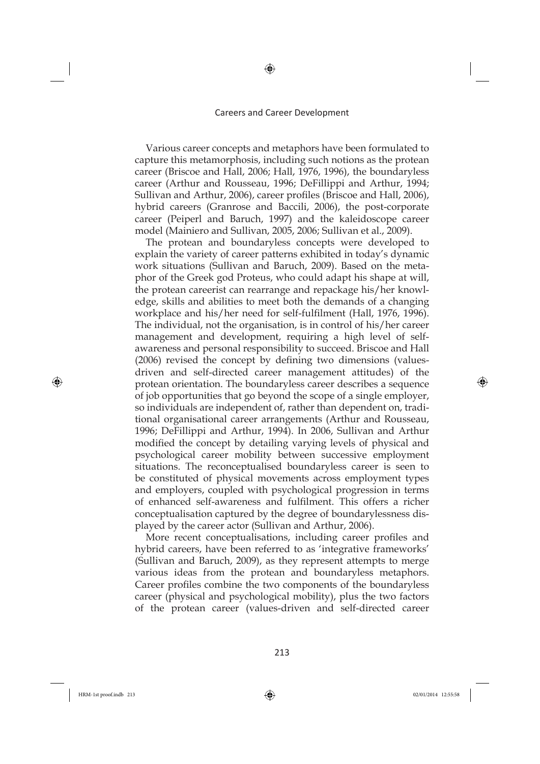Various career concepts and metaphors have been formulated to capture this metamorphosis, including such notions as the protean career (Briscoe and Hall, 2006; Hall, 1976, 1996), the boundaryless career (Arthur and Rousseau, 1996; DeFillippi and Arthur, 1994; Sullivan and Arthur, 2006), career profiles (Briscoe and Hall, 2006), hybrid careers (Granrose and Baccili, 2006), the post-corporate career (Peiperl and Baruch, 1997) and the kaleidoscope career model (Mainiero and Sullivan, 2005, 2006; Sullivan et al., 2009).

The protean and boundaryless concepts were developed to explain the variety of career patterns exhibited in today's dynamic work situations (Sullivan and Baruch, 2009). Based on the metaphor of the Greek god Proteus, who could adapt his shape at will, the protean careerist can rearrange and repackage his/her knowledge, skills and abilities to meet both the demands of a changing workplace and his/her need for self-fulfilment (Hall, 1976, 1996). The individual, not the organisation, is in control of his/her career management and development, requiring a high level of selfawareness and personal responsibility to succeed. Briscoe and Hall  $(2006)$  revised the concept by defining two dimensions (valuesdriven and self-directed career management attitudes) of the protean orientation. The boundaryless career describes a sequence of job opportunities that go beyond the scope of a single employer, so individuals are independent of, rather than dependent on, traditional organisational career arrangements (Arthur and Rousseau, 1996; DeFillippi and Arthur, 1994). In 2006, Sullivan and Arthur modified the concept by detailing varying levels of physical and psychological career mobility between successive employment situations. The reconceptualised boundaryless career is seen to be constituted of physical movements across employment types and employers, coupled with psychological progression in terms of enhanced self-awareness and fulfilment. This offers a richer conceptualisation captured by the degree of boundarylessness displayed by the career actor (Sullivan and Arthur, 2006).

More recent conceptualisations, including career profiles and hybrid careers, have been referred to as 'integrative frameworks' (Sullivan and Baruch, 2009), as they represent attempts to merge various ideas from the protean and boundaryless metaphors. Career profiles combine the two components of the boundaryless career (physical and psychological mobility), plus the two factors of the protean career (values-driven and self-directed career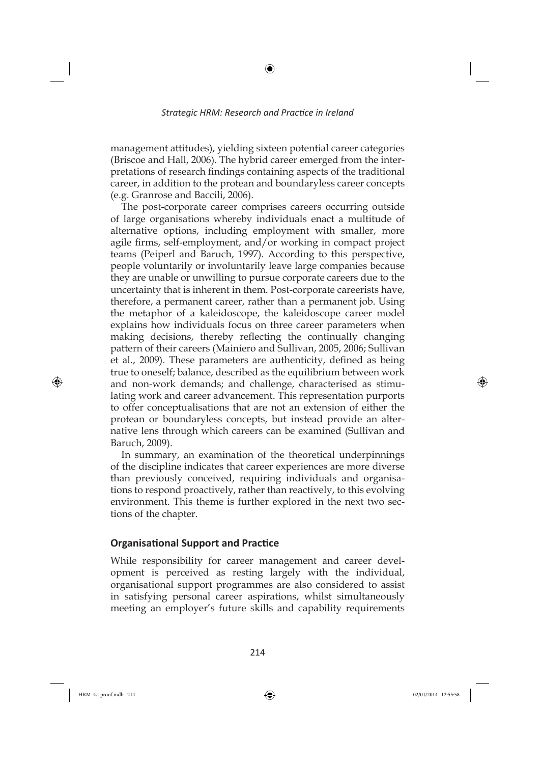management attitudes), yielding sixteen potential career categories (Briscoe and Hall, 2006). The hybrid career emerged from the interpretations of research findings containing aspects of the traditional career, in addition to the protean and boundaryless career concepts (e.g. Granrose and Baccili, 2006).

The post-corporate career comprises careers occurring outside of large organisations whereby individuals enact a multitude of alternative options, including employment with smaller, more agile firms, self-employment, and/or working in compact project teams (Peiperl and Baruch, 1997). According to this perspective, people voluntarily or involuntarily leave large companies because they are unable or unwilling to pursue corporate careers due to the uncertainty that is inherent in them. Post-corporate careerists have, therefore, a permanent career, rather than a permanent job. Using the metaphor of a kaleidoscope, the kaleidoscope career model explains how individuals focus on three career parameters when making decisions, thereby reflecting the continually changing pattern of their careers (Mainiero and Sullivan, 2005, 2006; Sullivan et al., 2009). These parameters are authenticity, defined as being true to oneself; balance, described as the equilibrium between work and non-work demands; and challenge, characterised as stimulating work and career advancement. This representation purports to offer conceptualisations that are not an extension of either the protean or boundaryless concepts, but instead provide an alternative lens through which careers can be examined (Sullivan and Baruch, 2009).

In summary, an examination of the theoretical underpinnings of the discipline indicates that career experiences are more diverse than previously conceived, requiring individuals and organisations to respond proactively, rather than reactively, to this evolving environment. This theme is further explored in the next two sections of the chapter.

#### **Organisati onal Support and Practi ce**

While responsibility for career management and career development is perceived as resting largely with the individual, organisational support programmes are also considered to assist in satisfying personal career aspirations, whilst simultaneously meeting an employer's future skills and capability requirements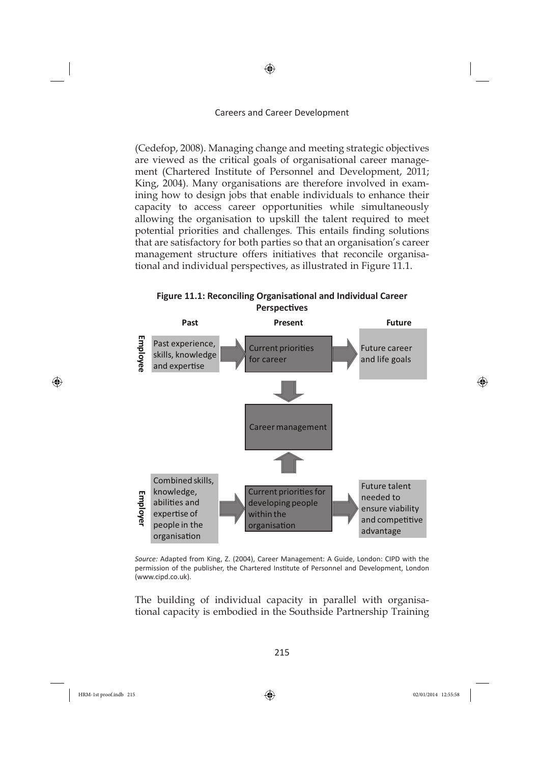(Cedefop, 2008). Managing change and meeting strategic objectives are viewed as the critical goals of organisational career management (Chartered Institute of Personnel and Development, 2011; King, 2004). Many organisations are therefore involved in examining how to design jobs that enable individuals to enhance their capacity to access career opportunities while simultaneously allowing the organisation to upskill the talent required to meet potential priorities and challenges. This entails finding solutions that are satisfactory for both parties so that an organisation's career management structure offers initiatives that reconcile organisational and individual perspectives, as illustrated in Figure 11.1.



*Source:* Adapted from King, Z. (2004), Career Management: A Guide, London: CIPD with the permission of the publisher, the Chartered Institute of Personnel and Development, London (www.cipd.co.uk).

The building of individual capacity in parallel with organisational capacity is embodied in the Southside Partnership Training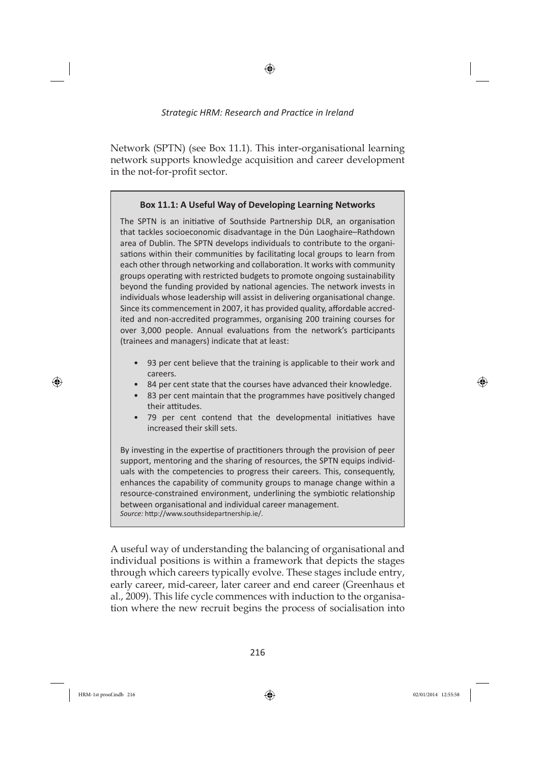Network (SPTN) (see Box 11.1). This inter-organisational learning network supports knowledge acquisition and career development in the not-for-profit sector.

#### **Box 11.1: A Useful Way of Developing Learning Networks**

The SPTN is an initiative of Southside Partnership DLR, an organisation that tackles socioeconomic disadvantage in the Dún Laoghaire–Rathdown area of Dublin. The SPTN develops individuals to contribute to the organisations within their communities by facilitating local groups to learn from each other through networking and collaboration. It works with community groups operating with restricted budgets to promote ongoing sustainability beyond the funding provided by national agencies. The network invests in individuals whose leadership will assist in delivering organisational change. Since its commencement in 2007, it has provided quality, affordable accredited and non-accredited programmes, organising 200 training courses for over 3,000 people. Annual evaluations from the network's participants (trainees and managers) indicate that at least:

- 93 per cent believe that the training is applicable to their work and careers.
- 84 per cent state that the courses have advanced their knowledge.
- 83 per cent maintain that the programmes have positively changed their attitudes.
- 79 per cent contend that the developmental initiatives have increased their skill sets.

By investing in the expertise of practitioners through the provision of peer support, mentoring and the sharing of resources, the SPTN equips individuals with the competencies to progress their careers. This, consequently, enhances the capability of community groups to manage change within a resource-constrained environment, underlining the symbiotic relationship between organisational and individual career management. *Source:* http://www.southsidepartnership.ie/.

A useful way of understanding the balancing of organisational and individual positions is within a framework that depicts the stages through which careers typically evolve. These stages include entry, early career, mid-career, later career and end career (Greenhaus et al., 2009). This life cycle commences with induction to the organisation where the new recruit begins the process of socialisation into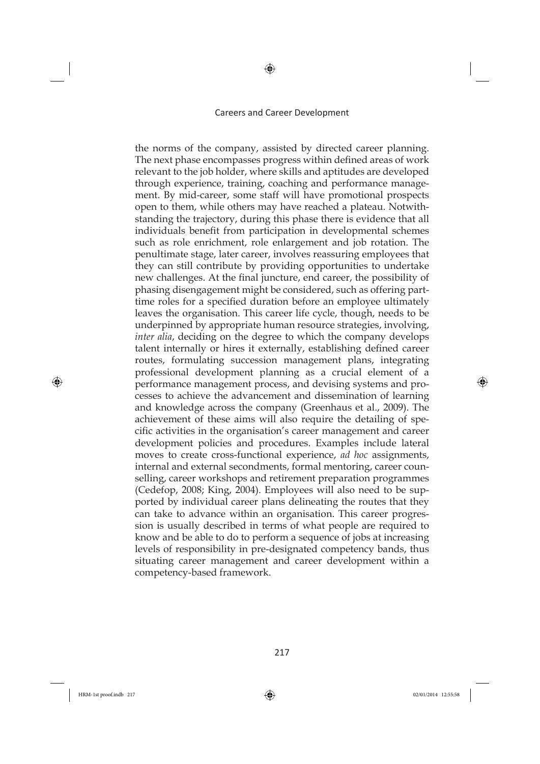the norms of the company, assisted by directed career planning. The next phase encompasses progress within defined areas of work relevant to the job holder, where skills and aptitudes are developed through experience, training, coaching and performance management. By mid-career, some staff will have promotional prospects open to them, while others may have reached a plateau. Notwithstanding the trajectory, during this phase there is evidence that all individuals benefit from participation in developmental schemes such as role enrichment, role enlargement and job rotation. The penultimate stage, later career, involves reassuring employees that they can still contribute by providing opportunities to undertake new challenges. At the final juncture, end career, the possibility of phasing disengagement might be considered, such as offering parttime roles for a specified duration before an employee ultimately leaves the organisation. This career life cycle, though, needs to be underpinned by appropriate human resource strategies, involving, *inter alia*, deciding on the degree to which the company develops talent internally or hires it externally, establishing defined career routes, formulating succession management plans, integrating professional development planning as a crucial element of a performance management process, and devising systems and processes to achieve the advancement and dissemination of learning and knowledge across the company (Greenhaus et al., 2009). The achievement of these aims will also require the detailing of specific activities in the organisation's career management and career development policies and procedures. Examples include lateral moves to create cross-functional experience, *ad hoc* assignments, internal and external secondments, formal mentoring, career counselling, career workshops and retirement preparation programmes (Cedefop, 2008; King, 2004). Employees will also need to be supported by individual career plans delineating the routes that they can take to advance within an organisation. This career progression is usually described in terms of what people are required to know and be able to do to perform a sequence of jobs at increasing levels of responsibility in pre-designated competency bands, thus situating career management and career development within a competency-based framework.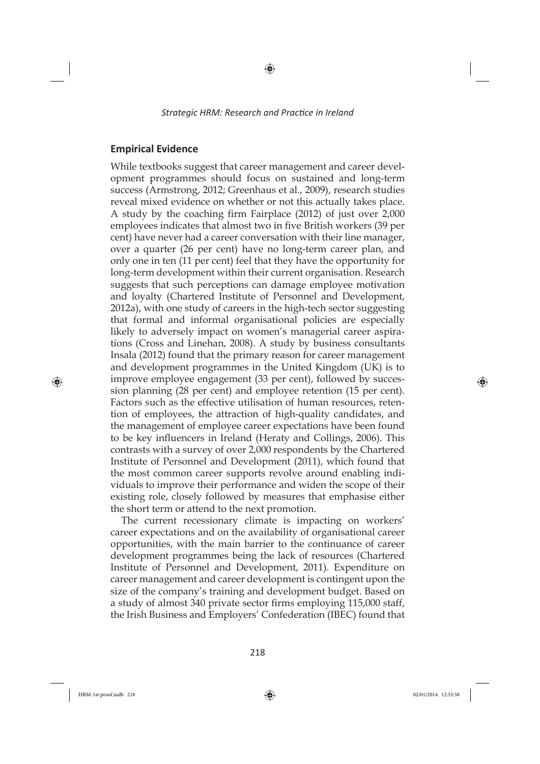#### **Empirical Evidence**

While textbooks suggest that career management and career development programmes should focus on sustained and long-term success (Armstrong, 2012; Greenhaus et al., 2009), research studies reveal mixed evidence on whether or not this actually takes place. A study by the coaching firm Fairplace  $(2012)$  of just over  $2,000$ employees indicates that almost two in five British workers (39 per cent) have never had a career conversation with their line manager, over a quarter (26 per cent) have no long-term career plan, and only one in ten (11 per cent) feel that they have the opportunity for long-term development within their current organisation. Research suggests that such perceptions can damage employee motivation and loyalty (Chartered Institute of Personnel and Development, 2012a), with one study of careers in the high-tech sector suggesting that formal and informal organisational policies are especially likely to adversely impact on women's managerial career aspirations (Cross and Linehan, 2008). A study by business consultants Insala (2012) found that the primary reason for career management and development programmes in the United Kingdom (UK) is to improve employee engagement (33 per cent), followed by succession planning (28 per cent) and employee retention (15 per cent). Factors such as the effective utilisation of human resources, retention of employees, the attraction of high-quality candidates, and the management of employee career expectations have been found to be key influencers in Ireland (Heraty and Collings, 2006). This contrasts with a survey of over 2,000 respondents by the Chartered Institute of Personnel and Development (2011), which found that the most common career supports revolve around enabling individuals to improve their performance and widen the scope of their existing role, closely followed by measures that emphasise either the short term or attend to the next promotion.

The current recessionary climate is impacting on workers' career expectations and on the availability of organisational career opportunities, with the main barrier to the continuance of career development programmes being the lack of resources (Chartered Institute of Personnel and Development, 2011). Expenditure on career management and career development is contingent upon the size of the company's training and development budget. Based on a study of almost 340 private sector firms employing 115,000 staff, the Irish Business and Employers' Confederation (IBEC) found that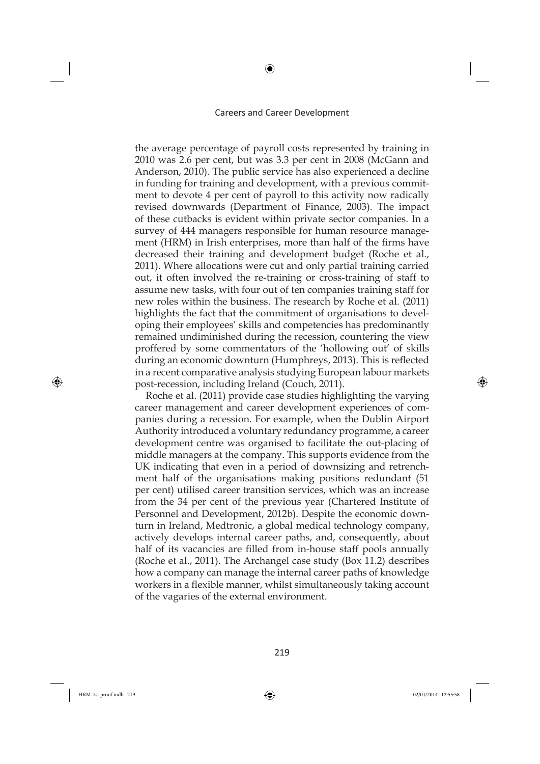the average percentage of payroll costs represented by training in 2010 was 2.6 per cent, but was 3.3 per cent in 2008 (McGann and Anderson, 2010). The public service has also experienced a decline in funding for training and development, with a previous commitment to devote 4 per cent of payroll to this activity now radically revised downwards (Department of Finance, 2003). The impact of these cutbacks is evident within private sector companies. In a survey of 444 managers responsible for human resource management (HRM) in Irish enterprises, more than half of the firms have decreased their training and development budget (Roche et al., 2011). Where allocations were cut and only partial training carried out, it often involved the re-training or cross-training of staff to assume new tasks, with four out of ten companies training staff for new roles within the business. The research by Roche et al. (2011) highlights the fact that the commitment of organisations to developing their employees' skills and competencies has predominantly remained undiminished during the recession, countering the view proffered by some commentators of the 'hollowing out' of skills during an economic downturn (Humphreys, 2013). This is reflected in a recent comparative analysis studying European labour markets post-recession, including Ireland (Couch, 2011).

Roche et al. (2011) provide case studies highlighting the varying career management and career development experiences of companies during a recession. For example, when the Dublin Airport Authority introduced a voluntary redundancy programme, a career development centre was organised to facilitate the out-placing of middle managers at the company. This supports evidence from the UK indicating that even in a period of downsizing and retrenchment half of the organisations making positions redundant (51 per cent) utilised career transition services, which was an increase from the 34 per cent of the previous year (Chartered Institute of Personnel and Development, 2012b). Despite the economic downturn in Ireland, Medtronic, a global medical technology company, actively develops internal career paths, and, consequently, about half of its vacancies are filled from in-house staff pools annually (Roche et al., 2011). The Archangel case study (Box 11.2) describes how a company can manage the internal career paths of knowledge workers in a flexible manner, whilst simultaneously taking account of the vagaries of the external environment.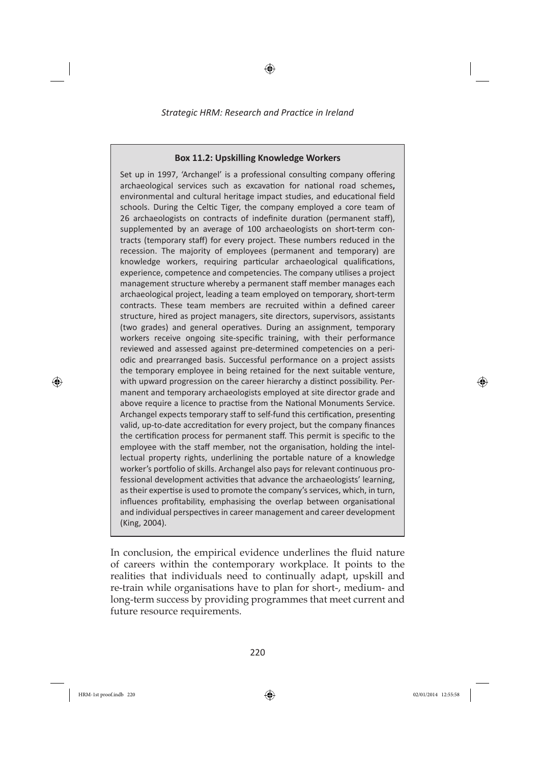#### **Box 11.2: Upskilling Knowledge Workers**

Set up in 1997, 'Archangel' is a professional consulting company offering archaeological services such as excavation for national road schemes, environmental and cultural heritage impact studies, and educational field schools. During the Celtic Tiger, the company employed a core team of 26 archaeologists on contracts of indefinite duration (permanent staff), supplemented by an average of 100 archaeologists on short-term contracts (temporary staff) for every project. These numbers reduced in the recession. The majority of employees (permanent and temporary) are knowledge workers, requiring particular archaeological qualifications, experience, competence and competencies. The company utilises a project management structure whereby a permanent staff member manages each archaeological project, leading a team employed on temporary, short-term contracts. These team members are recruited within a defined career structure, hired as project managers, site directors, supervisors, assistants (two grades) and general operatives. During an assignment, temporary workers receive ongoing site-specific training, with their performance reviewed and assessed against pre-determined competencies on a periodic and prearranged basis. Successful performance on a project assists the temporary employee in being retained for the next suitable venture, with upward progression on the career hierarchy a distinct possibility. Permanent and temporary archaeologists employed at site director grade and above require a licence to practise from the National Monuments Service. Archangel expects temporary staff to self-fund this certification, presenting valid, up-to-date accreditation for every project, but the company finances the certification process for permanent staff. This permit is specific to the employee with the staff member, not the organisation, holding the intellectual property rights, underlining the portable nature of a knowledge worker's portfolio of skills. Archangel also pays for relevant continuous professional development activities that advance the archaeologists' learning, as their expertise is used to promote the company's services, which, in turn, influences profitability, emphasising the overlap between organisational and individual perspectives in career management and career development (King, 2004).

In conclusion, the empirical evidence underlines the fluid nature of careers within the contemporary workplace. It points to the realities that individuals need to continually adapt, upskill and re-train while organisations have to plan for short-, medium- and long-term success by providing programmes that meet current and future resource requirements.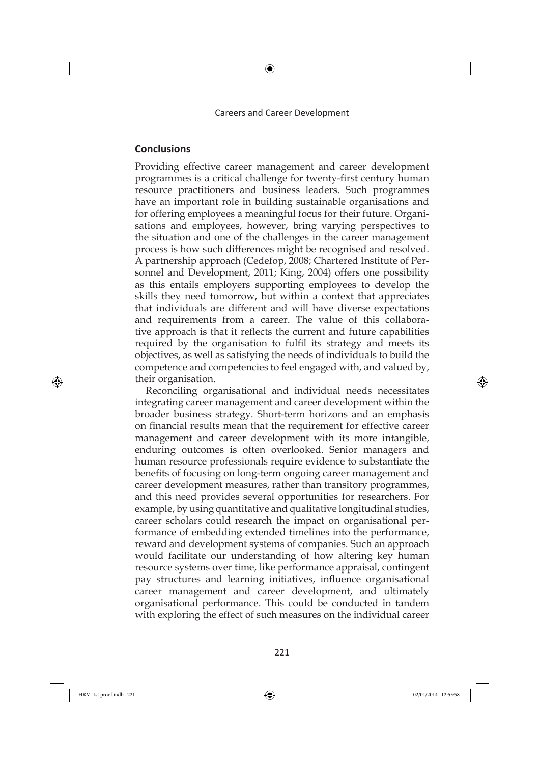## **Conclusions**

Providing effective career management and career development programmes is a critical challenge for twenty-first century human resource practitioners and business leaders. Such programmes have an important role in building sustainable organisations and for offering employees a meaningful focus for their future. Organisations and employees, however, bring varying perspectives to the situation and one of the challenges in the career management process is how such differences might be recognised and resolved. A partnership approach (Cedefop, 2008; Chartered Institute of Personnel and Development, 2011; King, 2004) offers one possibility as this entails employers supporting employees to develop the skills they need tomorrow, but within a context that appreciates that individuals are different and will have diverse expectations and requirements from a career. The value of this collaborative approach is that it reflects the current and future capabilities required by the organisation to fulfil its strategy and meets its objectives, as well as satisfying the needs of individuals to build the competence and competencies to feel engaged with, and valued by, their organisation.

Reconciling organisational and individual needs necessitates integrating career management and career development within the broader business strategy. Short-term horizons and an emphasis on financial results mean that the requirement for effective career management and career development with its more intangible, enduring outcomes is often overlooked. Senior managers and human resource professionals require evidence to substantiate the benefits of focusing on long-term ongoing career management and career development measures, rather than transitory programmes, and this need provides several opportunities for researchers. For example, by using quantitative and qualitative longitudinal studies, career scholars could research the impact on organisational performance of embedding extended timelines into the performance, reward and development systems of companies. Such an approach would facilitate our understanding of how altering key human resource systems over time, like performance appraisal, contingent pay structures and learning initiatives, influence organisational career management and career development, and ultimately organisational performance. This could be conducted in tandem with exploring the effect of such measures on the individual career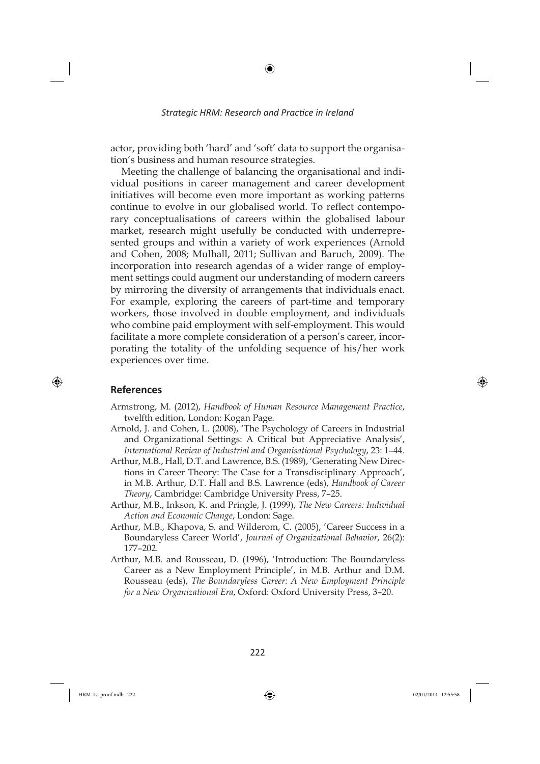actor, providing both 'hard' and 'soft' data to support the organisation's business and human resource strategies.

Meeting the challenge of balancing the organisational and individual positions in career management and career development initiatives will become even more important as working patterns continue to evolve in our globalised world. To reflect contemporary conceptualisations of careers within the globalised labour market, research might usefully be conducted with underrepresented groups and within a variety of work experiences (Arnold and Cohen, 2008; Mulhall, 2011; Sullivan and Baruch, 2009). The incorporation into research agendas of a wider range of employment settings could augment our understanding of modern careers by mirroring the diversity of arrangements that individuals enact. For example, exploring the careers of part-time and temporary workers, those involved in double employment, and individuals who combine paid employment with self-employment. This would facilitate a more complete consideration of a person's career, incorporating the totality of the unfolding sequence of his/her work experiences over time.

#### **References**

- Armstrong, M. (2012), *Handbook of Human Resource Management Practice*, twelfth edition, London: Kogan Page.
- Arnold, J. and Cohen, L. (2008), 'The Psychology of Careers in Industrial and Organizational Settings: A Critical but Appreciative Analysis', *International Review of Industrial and Organisational Psychology*, 23: 1–44.
- Arthur, M.B., Hall, D.T. and Lawrence, B.S. (1989), 'Generating New Directions in Career Theory: The Case for a Transdisciplinary Approach', in M.B. Arthur, D.T. Hall and B.S. Lawrence (eds), *Handbook of Career Theory*, Cambridge: Cambridge University Press, 7–25.
- Arthur, M.B., Inkson, K. and Pringle, J. (1999), *The New Careers: Individual Action and Economic Change*, London: Sage.
- Arthur, M.B., Khapova, S. and Wilderom, C. (2005), 'Career Success in a Boundaryless Career World', *Journal of Organizational Behavior*, 26(2): 177–202.
- Arthur, M.B. and Rousseau, D. (1996), 'Introduction: The Boundaryless Career as a New Employment Principle', in M.B. Arthur and D.M. Rousseau (eds), *The Boundaryless Career: A New Employment Principle for a New Organizational Era*, Oxford: Oxford University Press, 3–20.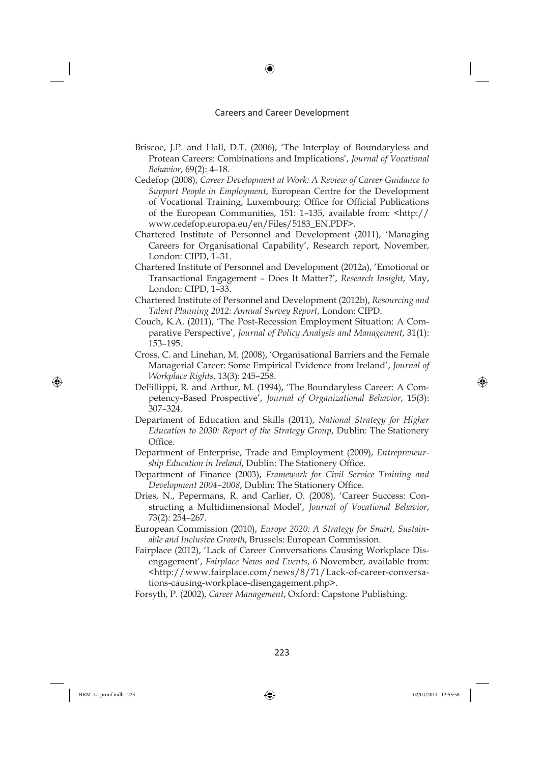- Briscoe, J.P. and Hall, D.T. (2006), 'The Interplay of Boundaryless and Protean Careers: Combinations and Implications', *Journal of Vocational Behavior*, 69(2): 4–18.
- Cedefop (2008), *Career Development at Work: A Review of Career Guidance to Support People in Employment*, European Centre for the Development of Vocational Training, Luxembourg: Office for Official Publications of the European Communities, 151: 1–135, available from: <http:// www.cedefop.europa.eu/en/Files/5183\_EN.PDF>.
- Chartered Institute of Personnel and Development (2011), 'Managing Careers for Organisational Capability', Research report, November, London: CIPD, 1–31.
- Chartered Institute of Personnel and Development (2012a), 'Emotional or Transactional Engagement – Does It Matter?', *Research Insight*, May, London: CIPD, 1–33.
- Chartered Institute of Personnel and Development (2012b), *Resourcing and Talent Planning 2012: Annual Survey Report*, London: CIPD.
- Couch, K.A. (2011), 'The Post-Recession Employment Situation: A Comparative Perspective', *Journal of Policy Analysis and Management*, 31(1): 153–195.
- Cross, C. and Linehan, M. (2008), 'Organisational Barriers and the Female Managerial Career: Some Empirical Evidence from Ireland', *Journal of Workplace Rights*, 13(3): 245–258.
- DeFillippi, R. and Arthur, M. (1994), 'The Boundaryless Career: A Competency-Based Prospective', *Journal of Organizational Behavior*, 15(3): 307–324.
- Department of Education and Skills (2011), *National Strategy for Higher Education to 2030: Report of the Strategy Group*, Dublin: The Stationery Office.
- Department of Enterprise, Trade and Employment (2009), *Entrepreneur*ship Education in Ireland, Dublin: The Stationery Office.
- Department of Finance (2003), *Framework for Civil Service Training and*  Development 2004–2008, Dublin: The Stationery Office.
- Dries, N., Pepermans, R. and Carlier, O. (2008), 'Career Success: Constructing a Multidimensional Model', *Journal of Vocational Behavior*, 73(2): 254–267.
- European Commission (2010), *Europe 2020: A Strategy for Smart, Sustainable and Inclusive Growth*, Brussels: European Commission.
- Fairplace (2012), 'Lack of Career Conversations Causing Workplace Disengagement', *Fairplace News and Events*, 6 November, available from: <http://www.fairplace.com/news/8/71/Lack-of-career-conversations-causing-workplace-disengagement.php>.
- Forsyth, P. (2002), *Career Management*, Oxford: Capstone Publishing.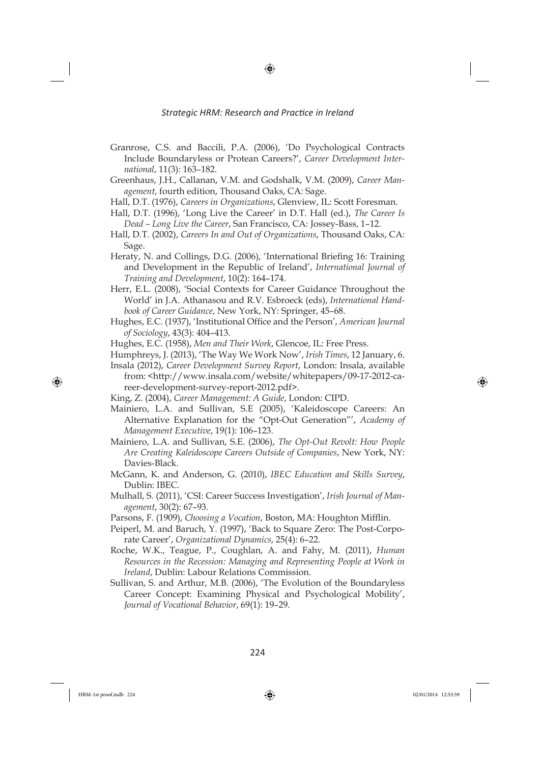- Granrose, C.S. and Baccili, P.A. (2006), 'Do Psychological Contracts Include Boundaryless or Protean Careers?', *Career Development International*, 11(3): 163–182.
- Greenhaus, J.H., Callanan, V.M. and Godshalk, V.M. (2009), *Career Management*, fourth edition, Thousand Oaks, CA: Sage.
- Hall, D.T. (1976), *Careers in Organizations*, Glenview, IL: Scott Foresman.
- Hall, D.T. (1996), 'Long Live the Career' in D.T. Hall (ed.), *The Career Is Dead – Long Live the Career*, San Francisco, CA: Jossey-Bass, 1–12.
- Hall, D.T. (2002), *Careers In and Out of Organizations*, Thousand Oaks, CA: Sage.
- Heraty, N. and Collings, D.G. (2006), 'International Briefing 16: Training and Development in the Republic of Ireland', *International Journal of Training and Development*, 10(2): 164–174.
- Herr, E.L. (2008), 'Social Contexts for Career Guidance Throughout the World' in J.A. Athanasou and R.V. Esbroeck (eds), *International Handbook of Career Guidance*, New York, NY: Springer, 45–68.
- Hughes, E.C. (1937), 'Institutional Office and the Person', *American Journal of Sociology*, 43(3): 404–413.
- Hughes, E.C. (1958), *Men and Their Work*, Glencoe, IL: Free Press.
- Humphreys, J. (2013), 'The Way We Work Now', *Irish Times*, 12 January, 6.
- Insala (2012), *Career Development Survey Report*, London: Insala, available from: <http://www.insala.com/website/whitepapers/09-17-2012-career-development-survey-report-2012.pdf>.
- King, Z. (2004), *Career Management: A Guide*, London: CIPD.
- Mainiero, L.A. and Sullivan, S.E (2005), 'Kaleidoscope Careers: An Alternative Explanation for the "Opt-Out Generation"', *Academy of Management Executive*, 19(1): 106–123.
- Mainiero, L.A. and Sullivan, S.E. (2006), *The Opt-Out Revolt: How People Are Creating Kaleidoscope Careers Outside of Companies*, New York, NY: Davies-Black.
- McGann, K. and Anderson, G. (2010), *IBEC Education and Skills Survey*, Dublin: IBEC.
- Mulhall, S. (2011), 'CSI: Career Success Investigation', *Irish Journal of Management*, 30(2): 67–93.
- Parsons, F. (1909), *Choosing a Vocation*, Boston, MA: Houghton Mifflin.
- Peiperl, M. and Baruch, Y. (1997), 'Back to Square Zero: The Post-Corporate Career', *Organizational Dynamics*, 25(4): 6–22.
- Roche, W.K., Teague, P., Coughlan, A. and Fahy, M. (2011), *Human Resources in the Recession: Managing and Representing People at Work in Ireland*, Dublin: Labour Relations Commission.
- Sullivan, S. and Arthur, M.B. (2006), 'The Evolution of the Boundaryless Career Concept: Examining Physical and Psychological Mobility', *Journal of Vocational Behavior*, 69(1): 19–29.